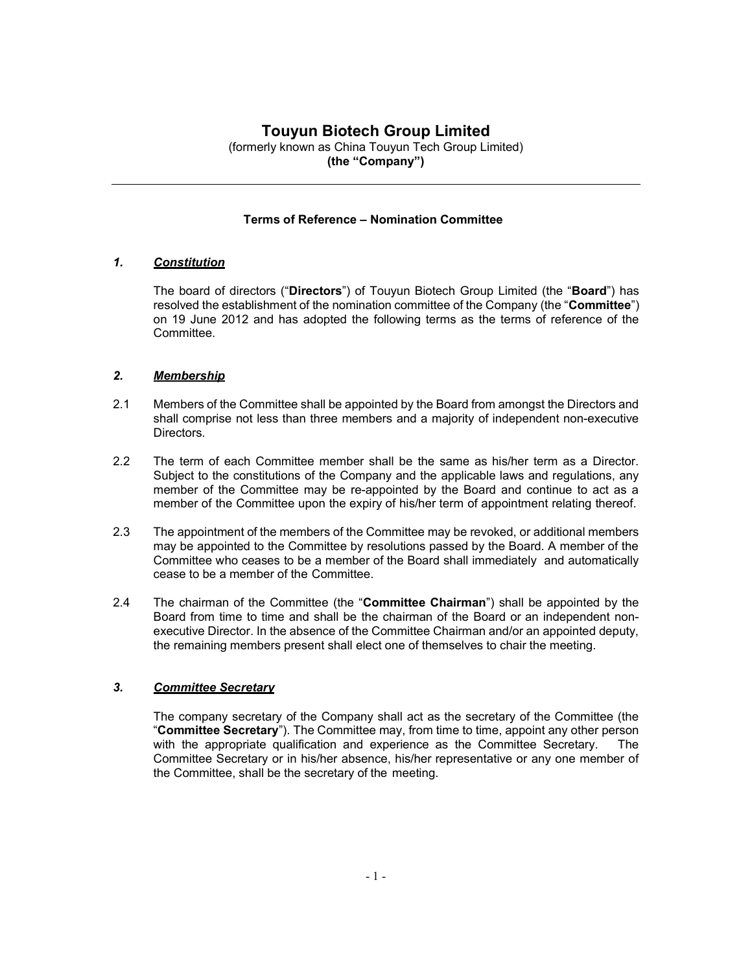# Touyun Biotech Group Limited

(formerly known as China Touyun Tech Group Limited) (the "Company")

### Terms of Reference – Nomination Committee

### 1. Constitution

The board of directors ("Directors") of Touyun Biotech Group Limited (the "Board") has resolved the establishment of the nomination committee of the Company (the "Committee") on 19 June 2012 and has adopted the following terms as the terms of reference of the Committee.

# 2. Membership

- 2.1 Members of the Committee shall be appointed by the Board from amongst the Directors and shall comprise not less than three members and a majority of independent non-executive Directors.
- 2.2 The term of each Committee member shall be the same as his/her term as a Director. Subject to the constitutions of the Company and the applicable laws and regulations, any member of the Committee may be re-appointed by the Board and continue to act as a member of the Committee upon the expiry of his/her term of appointment relating thereof.
- 2.3 The appointment of the members of the Committee may be revoked, or additional members may be appointed to the Committee by resolutions passed by the Board. A member of the Committee who ceases to be a member of the Board shall immediately and automatically cease to be a member of the Committee.
- 2.4 The chairman of the Committee (the "Committee Chairman") shall be appointed by the Board from time to time and shall be the chairman of the Board or an independent nonexecutive Director. In the absence of the Committee Chairman and/or an appointed deputy, the remaining members present shall elect one of themselves to chair the meeting.

# 3. Committee Secretary

The company secretary of the Company shall act as the secretary of the Committee (the "Committee Secretary"). The Committee may, from time to time, appoint any other person with the appropriate qualification and experience as the Committee Secretary. The Committee Secretary or in his/her absence, his/her representative or any one member of the Committee, shall be the secretary of the meeting.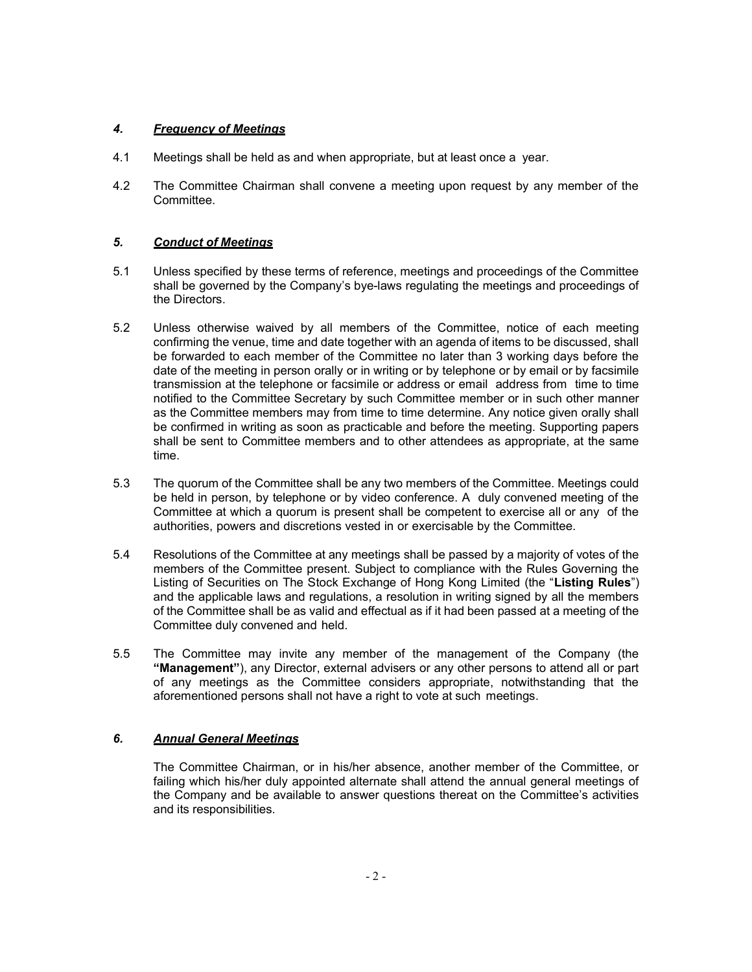# 4. **Frequency of Meetings**

- 4.1 Meetings shall be held as and when appropriate, but at least once a year.
- 4.2 The Committee Chairman shall convene a meeting upon request by any member of the Committee.

# 5. Conduct of Meetings

- 5.1 Unless specified by these terms of reference, meetings and proceedings of the Committee shall be governed by the Company's bye-laws regulating the meetings and proceedings of the Directors.
- 5.2 Unless otherwise waived by all members of the Committee, notice of each meeting confirming the venue, time and date together with an agenda of items to be discussed, shall be forwarded to each member of the Committee no later than 3 working days before the date of the meeting in person orally or in writing or by telephone or by email or by facsimile transmission at the telephone or facsimile or address or email address from time to time notified to the Committee Secretary by such Committee member or in such other manner as the Committee members may from time to time determine. Any notice given orally shall be confirmed in writing as soon as practicable and before the meeting. Supporting papers shall be sent to Committee members and to other attendees as appropriate, at the same time.
- 5.3 The quorum of the Committee shall be any two members of the Committee. Meetings could be held in person, by telephone or by video conference. A duly convened meeting of the Committee at which a quorum is present shall be competent to exercise all or any of the authorities, powers and discretions vested in or exercisable by the Committee.
- 5.4 Resolutions of the Committee at any meetings shall be passed by a majority of votes of the members of the Committee present. Subject to compliance with the Rules Governing the Listing of Securities on The Stock Exchange of Hong Kong Limited (the "Listing Rules") and the applicable laws and regulations, a resolution in writing signed by all the members of the Committee shall be as valid and effectual as if it had been passed at a meeting of the Committee duly convened and held.
- 5.5 The Committee may invite any member of the management of the Company (the "Management"), any Director, external advisers or any other persons to attend all or part of any meetings as the Committee considers appropriate, notwithstanding that the aforementioned persons shall not have a right to vote at such meetings.

# 6. Annual General Meetings

The Committee Chairman, or in his/her absence, another member of the Committee, or failing which his/her duly appointed alternate shall attend the annual general meetings of the Company and be available to answer questions thereat on the Committee's activities and its responsibilities.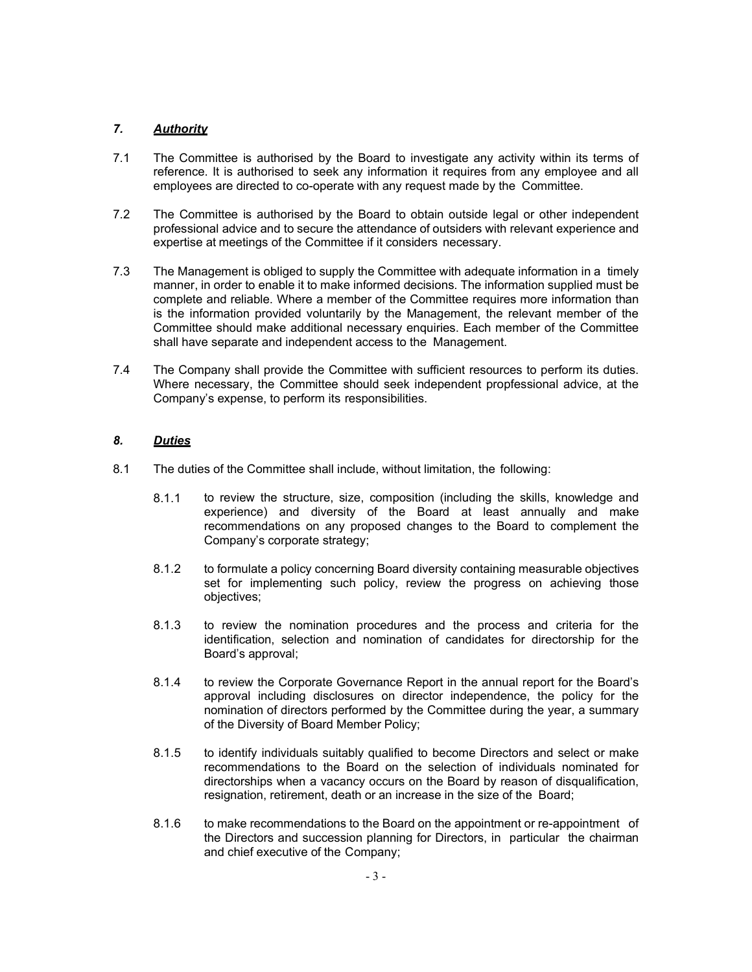### 7. Authority

- 7.1 The Committee is authorised by the Board to investigate any activity within its terms of reference. It is authorised to seek any information it requires from any employee and all employees are directed to co-operate with any request made by the Committee.
- 7.2 The Committee is authorised by the Board to obtain outside legal or other independent professional advice and to secure the attendance of outsiders with relevant experience and expertise at meetings of the Committee if it considers necessary.
- 7.3 The Management is obliged to supply the Committee with adequate information in a timely manner, in order to enable it to make informed decisions. The information supplied must be complete and reliable. Where a member of the Committee requires more information than is the information provided voluntarily by the Management, the relevant member of the Committee should make additional necessary enquiries. Each member of the Committee shall have separate and independent access to the Management.
- 7.4 The Company shall provide the Committee with sufficient resources to perform its duties. Where necessary, the Committee should seek independent propfessional advice, at the Company's expense, to perform its responsibilities.

### 8. Duties

- 8.1 The duties of the Committee shall include, without limitation, the following:
	- 8.1.1 to review the structure, size, composition (including the skills, knowledge and experience) and diversity of the Board at least annually and make recommendations on any proposed changes to the Board to complement the Company's corporate strategy;
	- 8.1.2 to formulate a policy concerning Board diversity containing measurable objectives set for implementing such policy, review the progress on achieving those objectives;
	- 8.1.3 to review the nomination procedures and the process and criteria for the identification, selection and nomination of candidates for directorship for the Board's approval;
	- 8.1.4 to review the Corporate Governance Report in the annual report for the Board's approval including disclosures on director independence, the policy for the nomination of directors performed by the Committee during the year, a summary of the Diversity of Board Member Policy;
	- 8.1.5 to identify individuals suitably qualified to become Directors and select or make recommendations to the Board on the selection of individuals nominated for directorships when a vacancy occurs on the Board by reason of disqualification, resignation, retirement, death or an increase in the size of the Board;
	- 8.1.6 to make recommendations to the Board on the appointment or re-appointment of the Directors and succession planning for Directors, in particular the chairman and chief executive of the Company;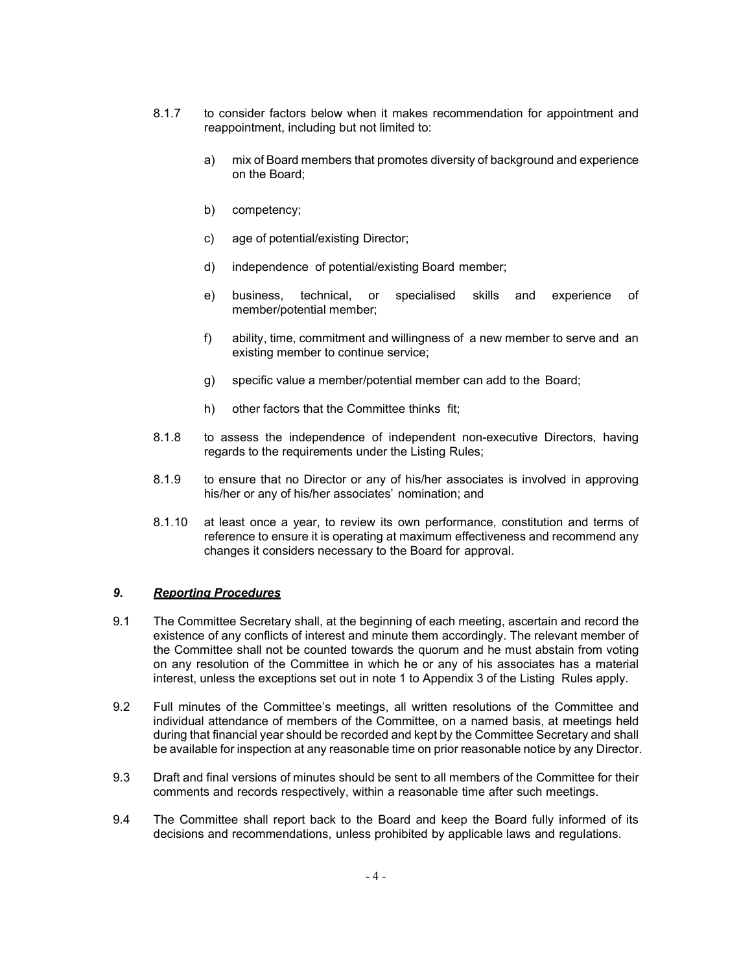- 8.1.7 to consider factors below when it makes recommendation for appointment and reappointment, including but not limited to:
	- a) mix of Board members that promotes diversity of background and experience on the Board;
	- b) competency;
	- c) age of potential/existing Director;
	- d) independence of potential/existing Board member;
	- e) business, technical, or specialised skills and experience of member/potential member;
	- f) ability, time, commitment and willingness of a new member to serve and an existing member to continue service;
	- g) specific value a member/potential member can add to the Board;
	- h) other factors that the Committee thinks fit;
- 8.1.8 to assess the independence of independent non-executive Directors, having regards to the requirements under the Listing Rules;
- 8.1.9 to ensure that no Director or any of his/her associates is involved in approving his/her or any of his/her associates' nomination; and
- 8.1.10 at least once a year, to review its own performance, constitution and terms of reference to ensure it is operating at maximum effectiveness and recommend any changes it considers necessary to the Board for approval.

#### 9. Reporting Procedures

- 9.1 The Committee Secretary shall, at the beginning of each meeting, ascertain and record the existence of any conflicts of interest and minute them accordingly. The relevant member of the Committee shall not be counted towards the quorum and he must abstain from voting on any resolution of the Committee in which he or any of his associates has a material interest, unless the exceptions set out in note 1 to Appendix 3 of the Listing Rules apply.
- 9.2 Full minutes of the Committee's meetings, all written resolutions of the Committee and individual attendance of members of the Committee, on a named basis, at meetings held during that financial year should be recorded and kept by the Committee Secretary and shall be available for inspection at any reasonable time on prior reasonable notice by any Director.
- 9.3 Draft and final versions of minutes should be sent to all members of the Committee for their comments and records respectively, within a reasonable time after such meetings.
- 9.4 The Committee shall report back to the Board and keep the Board fully informed of its decisions and recommendations, unless prohibited by applicable laws and regulations.